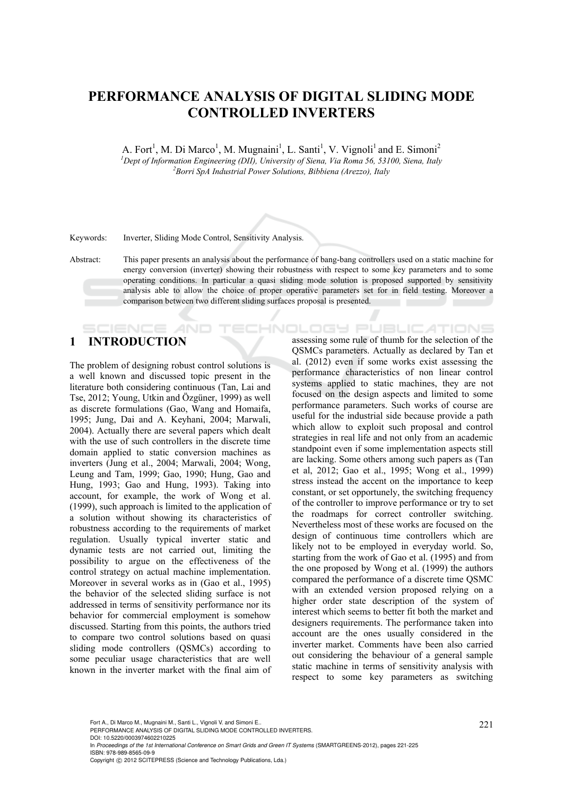# **PERFORMANCE ANALYSIS OF DIGITAL SLIDING MODE CONTROLLED INVERTERS**

A. Fort<sup>1</sup>, M. Di Marco<sup>1</sup>, M. Mugnaini<sup>1</sup>, L. Santi<sup>1</sup>, V. Vignoli<sup>1</sup> and E. Simoni<sup>2</sup> <sup>1</sup> Dept of Information Engineering (DII), University of Siena, Via Roma 56, 53100, Siena, Italy <sup>2</sup> Powis Sp. 4 Industrial Power Solutions, Pikkiana (Anarro), Italy *Borri SpA Industrial Power Solutions, Bibbiena (Arezzo), Italy* 

Keywords: Inverter, Sliding Mode Control, Sensitivity Analysis.

Abstract: This paper presents an analysis about the performance of bang-bang controllers used on a static machine for energy conversion (inverter) showing their robustness with respect to some key parameters and to some operating conditions. In particular a quasi sliding mode solution is proposed supported by sensitivity analysis able to allow the choice of proper operative parameters set for in field testing. Moreover a comparison between two different sliding surfaces proposal is presented.

HNOLOGY PI

# **1 INTRODUCTION**

The problem of designing robust control solutions is a well known and discussed topic present in the literature both considering continuous (Tan, Lai and Tse, 2012; Young, Utkin and Özgüner, 1999) as well as discrete formulations (Gao, Wang and Homaifa, 1995; Jung, Dai and A. Keyhani, 2004; Marwali, 2004). Actually there are several papers which dealt with the use of such controllers in the discrete time domain applied to static conversion machines as inverters (Jung et al., 2004; Marwali, 2004; Wong, Leung and Tam, 1999; Gao, 1990; Hung, Gao and Hung, 1993; Gao and Hung, 1993). Taking into account, for example, the work of Wong et al. (1999), such approach is limited to the application of a solution without showing its characteristics of robustness according to the requirements of market regulation. Usually typical inverter static and dynamic tests are not carried out, limiting the possibility to argue on the effectiveness of the control strategy on actual machine implementation. Moreover in several works as in (Gao et al., 1995) the behavior of the selected sliding surface is not addressed in terms of sensitivity performance nor its behavior for commercial employment is somehow discussed. Starting from this points, the authors tried to compare two control solutions based on quasi sliding mode controllers (QSMCs) according to some peculiar usage characteristics that are well known in the inverter market with the final aim of

:ATIONS assessing some rule of thumb for the selection of the QSMCs parameters. Actually as declared by Tan et al. (2012) even if some works exist assessing the performance characteristics of non linear control systems applied to static machines, they are not focused on the design aspects and limited to some performance parameters. Such works of course are useful for the industrial side because provide a path which allow to exploit such proposal and control strategies in real life and not only from an academic standpoint even if some implementation aspects still are lacking. Some others among such papers as (Tan et al, 2012; Gao et al., 1995; Wong et al., 1999) stress instead the accent on the importance to keep constant, or set opportunely, the switching frequency of the controller to improve performance or try to set the roadmaps for correct controller switching. Nevertheless most of these works are focused on the design of continuous time controllers which are likely not to be employed in everyday world. So, starting from the work of Gao et al. (1995) and from the one proposed by Wong et al. (1999) the authors compared the performance of a discrete time QSMC with an extended version proposed relying on a higher order state description of the system of interest which seems to better fit both the market and designers requirements. The performance taken into account are the ones usually considered in the inverter market. Comments have been also carried out considering the behaviour of a general sample static machine in terms of sensitivity analysis with respect to some key parameters as switching

221 Fort A., Di Marco M., Mugnaini M., Santi L., Vignoli V. and Simoni E.. PERFORMANCE ANALYSIS OF DIGITAL SLIDING MODE CONTROLLED INVERTERS.

DOI: 10.5220/0003974602210225

In *Proceedings of the 1st International Conference on Smart Grids and Green IT Systems* (SMARTGREENS-2012), pages 221-225 ISBN: 978-989-8565-09-9

Copyright © 2012 SCITEPRESS (Science and Technology Publications, Lda.)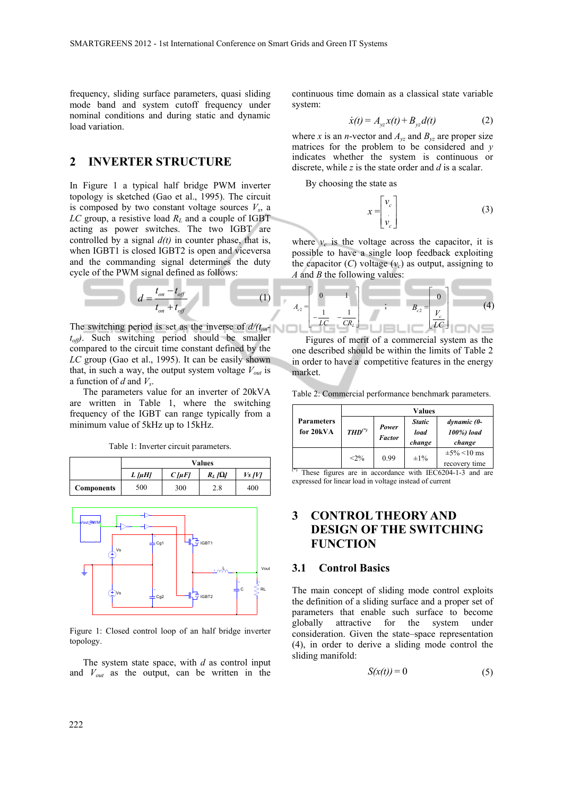frequency, sliding surface parameters, quasi sliding mode band and system cutoff frequency under nominal conditions and during static and dynamic load variation.

## **2 INVERTER STRUCTURE**

In Figure 1 a typical half bridge PWM inverter topology is sketched (Gao et al., 1995). The circuit is composed by two constant voltage sources  $V_s$ , a  $LC$  group, a resistive load  $R_L$  and a couple of IGBT acting as power switches. The two IGBT are controlled by a signal  $d(t)$  in counter phase, that is, when IGBT1 is closed IGBT2 is open and viceversa and the commanding signal determines the duty cycle of the PWM signal defined as follows:

$$
d = \frac{t_{on} - t_{off}}{t_{on} + t_{off}}
$$
 (1)

The switching period is set as the invers *toff)*. Such switching period should be smaller compared to the circuit time constant defined by the *LC* group (Gao et al., 1995). It can be easily shown that, in such a way, the output system voltage  $V_{out}$  is a function of *d* and *Vs*.

The parameters value for an inverter of 20kVA are written in Table 1, where the switching frequency of the IGBT can range typically from a minimum value of 5kHz up to 15kHz.

Table 1: Inverter circuit parameters.

|                   | Values         |                |              |                    |  |
|-------------------|----------------|----------------|--------------|--------------------|--|
|                   | $L$ [ $\mu$ H] | $C$ [ $\mu$ F] | $R_L/\Omega$ | V <sub>S</sub> IVI |  |
| <b>Components</b> | 500            | 300            | 2.8          | 400                |  |



Figure 1: Closed control loop of an half bridge inverter topology.

The system state space, with *d* as control input and *Vout* as the output, can be written in the

continuous time domain as a classical state variable system:

$$
\dot{x}(t) = A_{yz}x(t) + B_{yz}d(t)
$$
 (2)

where *x* is an *n*-vector and  $A_{yz}$  and  $B_{yz}$  are proper size matrices for the problem to be considered and *y* indicates whether the system is continuous or discrete, while *z* is the state order and *d* is a scalar.

By choosing the state as

*x =*

$$
= \begin{bmatrix} v_c \\ v_c \end{bmatrix} \tag{3}
$$

where  $v_c$  is the voltage across the capacitor, it is possible to have a single loop feedback exploiting the capacitor  $(C)$  voltage  $(v_c)$  as output, assigning to *A* and *B* the following values:

(1)  
\n
$$
A_{c2} = \begin{bmatrix} 0 & 1 \\ 1 & 1 \\ -\frac{1}{LC} & -\frac{1}{CR_L} \end{bmatrix}
$$
\n
$$
B_{c2} = \begin{bmatrix} 0 \\ V_c \\ \frac{V_c}{LC} \end{bmatrix}
$$
\n(4)

Figures of merit of a commercial system as the one described should be within the limits of Table 2 in order to have a competitive features in the energy market.

Table 2: Commercial performance benchmark parameters.

|                                | Values      |                        |                                 |                                     |  |
|--------------------------------|-------------|------------------------|---------------------------------|-------------------------------------|--|
| <b>Parameters</b><br>for 20kVA | $THD^{(*)}$ | Power<br><b>Factor</b> | <b>Static</b><br>load<br>change | dynamic (0-<br>100%) load<br>change |  |
|                                | $< 2\%$     | 0.99                   | $\pm 1\%$                       | $\pm 5\%$ <10 ms<br>recovery time   |  |

 $*$  These figures are in accordance with IEC6204-1-3 and are expressed for linear load in voltage instead of current

# **3 CONTROL THEORY AND DESIGN OF THE SWITCHING FUNCTION**

#### **3.1 Control Basics**

The main concept of sliding mode control exploits the definition of a sliding surface and a proper set of parameters that enable such surface to become globally attractive for the system under consideration. Given the state–space representation (4), in order to derive a sliding mode control the sliding manifold:

$$
S(x(t)) = 0 \tag{5}
$$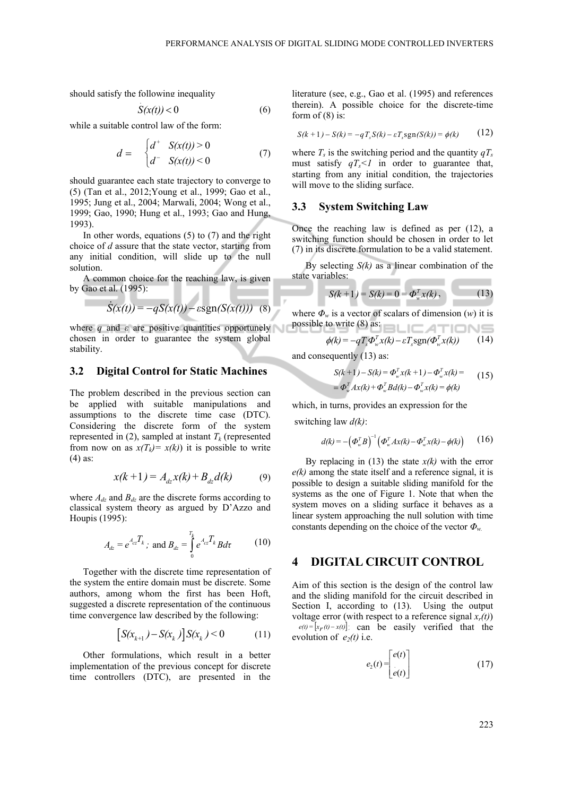should satisfy the following inequality .

$$
S(x(t)) < 0 \tag{6}
$$

while a suitable control law of the form:

$$
d = \begin{cases} d^+ & S(x(t)) > 0 \\ d^- & S(x(t)) < 0 \end{cases} \tag{7}
$$

should guarantee each state trajectory to converge to (5) (Tan et al., 2012;Young et al., 1999; Gao et al., 1995; Jung et al., 2004; Marwali, 2004; Wong et al., 1999; Gao, 1990; Hung et al., 1993; Gao and Hung, 1993).

In other words, equations  $(5)$  to  $(7)$  and the right choice of *d* assure that the state vector, starting from any initial condition, will slide up to the null solution.

A common choice for the reaching law, is given by Gao et al. (1995):

$$
\dot{S}(x(t)) = -qS(x(t)) - \varepsilon \text{sgn}(S(x(t))) \quad (8)
$$

where *q* and *ε* are positive quantities opportunely chosen in order to guarantee the system global stability.

#### **3.2 Digital Control for Static Machines**

The problem described in the previous section can be applied with suitable manipulations and assumptions to the discrete time case (DTC). Considering the discrete form of the system represented in (2), sampled at instant  $T_k$  (represented from now on as  $x(T_k) = x(k)$  it is possible to write (4) as:

$$
x(k+1) = A_{dz}x(k) + B_{dz}d(k)
$$
 (9)

where  $A_{dz}$  and  $B_{dz}$  are the discrete forms according to classical system theory as argued by D'Azzo and Houpis (1995):

$$
A_{dz} = e^{A_{cz}T_k}; \text{ and } B_{dz} = \int\limits_0^{T_k} e^{A_{cz}T_k} B d\tau \qquad (10)
$$

Together with the discrete time representation of the system the entire domain must be discrete. Some authors, among whom the first has been Hoft, suggested a discrete representation of the continuous time convergence law described by the following:

$$
[S(x_{k+1}) - S(x_k)]S(x_k) < 0 \tag{11}
$$

Other formulations, which result in a better implementation of the previous concept for discrete time controllers (DTC), are presented in the

literature (see, e.g., Gao et al. (1995) and references therein). A possible choice for the discrete-time form of  $(8)$  is:

$$
S(k + 1) - S(k) = -q T_s S(k) - \varepsilon T_s sgn(S(k)) = \phi(k)
$$
 (12)

where  $T_s$  is the switching period and the quantity  $qT_s$ must satisfy  $qT_s < 1$  in order to guarantee that, starting from any initial condition, the trajectories will move to the sliding surface.

#### **3.3 System Switching Law**

Once the reaching law is defined as per (12), a switching function should be chosen in order to let (7) in its discrete formulation to be a valid statement.

By selecting *S(k)* as a linear combination of the state variables:

$$
S(k+1) = S(k) = 0 = \Phi_w^T x(k), \qquad (13)
$$

where  $\Phi_w$  is a vector of scalars of dimension (*w*) it is possible to write (8) as:  $\Box$   $\Box$   $\Box$   $\Box$   $\Box$ 

$$
\phi(k) = -qT_s \Phi_w^T x(k) - \varepsilon T_s \text{sgn}(\Phi_w^T x(k))
$$
 (14)

and consequently (13) as:

$$
S(k+1) - S(k) = \Phi_w^T x(k+1) - \Phi_w^T x(k) =
$$
  
=  $\Phi_w^T A x(k) + \Phi_w^T B d(k) - \Phi_w^T x(k) = \phi(k)$  (15)

which, in turns, provides an expression for the

switching law *d(k)*:

$$
d(k) = -\left(\boldsymbol{\Phi}_{w}^{T}\boldsymbol{B}\right)^{-1}\left(\boldsymbol{\Phi}_{w}^{T}\boldsymbol{A}\boldsymbol{x}(k)-\boldsymbol{\Phi}_{w}^{T}\boldsymbol{x}(k)-\boldsymbol{\phi}(k)\right) \qquad (16)
$$

By replacing in  $(13)$  the state  $x(k)$  with the error *e(k)* among the state itself and a reference signal, it is possible to design a suitable sliding manifold for the systems as the one of Figure 1. Note that when the system moves on a sliding surface it behaves as a linear system approaching the null solution with time constants depending on the choice of the vector *Φw.* 

### **4 DIGITAL CIRCUIT CONTROL**

Aim of this section is the design of the control law and the sliding manifold for the circuit described in Section I, according to (13). Using the output voltage error (with respect to a reference signal  $x_r(t)$ )  $e(t) = [x_F(t) - x(t)]$  can be easily verified that the evolution of  $e_2(t)$  i.e.

$$
e_2(t) = \begin{bmatrix} e(t) \\ e(t) \end{bmatrix} \tag{17}
$$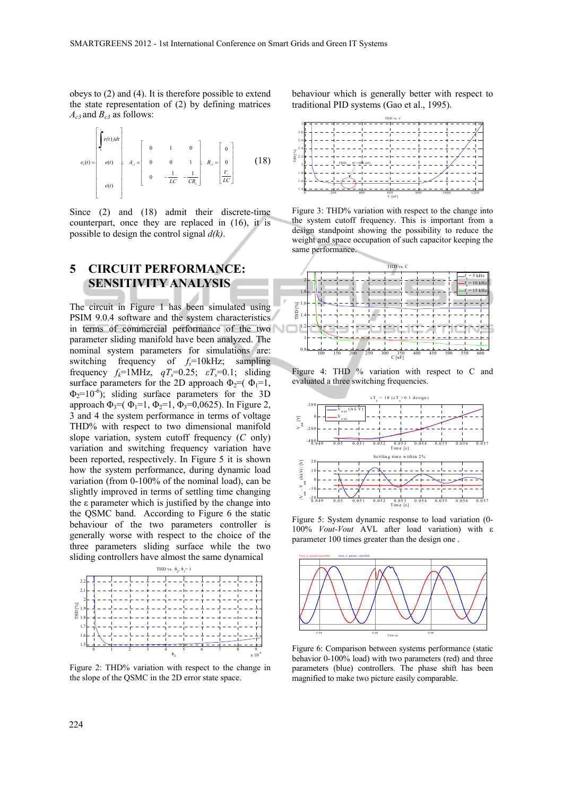obeys to (2) and (4). It is therefore possible to extend the state representation of (2) by defining matrices  $A_{c3}$  and  $B_{c3}$  as follows:



Since (2) and (18) admit their discrete-time counterpart, once they are replaced in (16), it is possible to design the control signal *d(k)*.

# **5 CIRCUIT PERFORMANCE: SENSITIVITY ANALYSIS**

The circuit in Figure 1 has been simulated using PSIM 9.0.4 software and the system characteristics in terms of commercial performance of the two parameter sliding manifold have been analyzed. The nominal system parameters for simulations are: switching frequency of  $f_s=10$ kHz; sampling frequency  $f_k$ =1MHz,  $qT_s$ =0.25;  $\epsilon T_s$ =0.1; sliding surface parameters for the 2D approach  $\Phi_2 = (\Phi_1 = 1,$  $\Phi_2=10^{-6}$ ); sliding surface parameters for the 3D approach  $\Phi_3 = (\Phi_1 = 1, \Phi_2 = 1, \Phi_3 = 0, 0625)$ . In Figure 2, 3 and 4 the system performance in terms of voltage THD% with respect to two dimensional manifold slope variation, system cutoff frequency (*C* only) variation and switching frequency variation have been reported, respectively. In Figure 5 it is shown how the system performance, during dynamic load variation (from 0-100% of the nominal load), can be slightly improved in terms of settling time changing the ε parameter which is justified by the change into the QSMC band. According to Figure 6 the static behaviour of the two parameters controller is generally worse with respect to the choice of the three parameters sliding surface while the two sliding controllers have almost the same dynamical



Figure 2: THD% variation with respect to the change in the slope of the QSMC in the 2D error state space.

behaviour which is generally better with respect to traditional PID systems (Gao et al., 1995).



Figure 3: THD% variation with respect to the change into the system cutoff frequency. This is important from a design standpoint showing the possibility to reduce the weight and space occupation of such capacitor keeping the same performance.



Figure 4: THD % variation with respect to C and evaluated a three switching frequencies.



Figure 5: System dynamic response to load variation (0- 100% *Vout-Vout* AVL after load variation) with ε parameter 100 times greater than the design one .



Figure 6: Comparison between systems performance (static behavior 0-100% load) with two parameters (red) and three parameters (blue) controllers. The phase shift has been magnified to make two picture easily comparable.